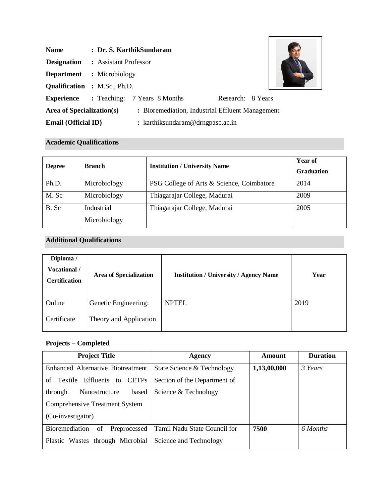| <b>Name</b>                         |                                  | : Dr. S. KarthikSundaram                         |                   |  |
|-------------------------------------|----------------------------------|--------------------------------------------------|-------------------|--|
| <b>Designation</b>                  | : Assistant Professor            |                                                  |                   |  |
|                                     | <b>Department</b> : Microbiology |                                                  |                   |  |
| <b>Qualification : M.Sc., Ph.D.</b> |                                  |                                                  |                   |  |
| <b>Experience</b>                   |                                  | : Teaching: 7 Years 8 Months                     | Research: 8 Years |  |
| Area of Specialization(s)           |                                  | : Bioremediation, Industrial Effluent Management |                   |  |
| <b>Email (Official ID)</b>          |                                  | : karthiksundaram@drngpasc.ac.in                 |                   |  |

# **Academic Qualifications**

| <b>Degree</b> | <b>Branch</b>              | <b>Institution / University Name</b>      | <b>Year of</b><br><b>Graduation</b> |
|---------------|----------------------------|-------------------------------------------|-------------------------------------|
| Ph.D.         | Microbiology               | PSG College of Arts & Science, Coimbatore | 2014                                |
| M. Sc         | Microbiology               | Thiagarajar College, Madurai              | 2009                                |
| B. Sc         | Industrial<br>Microbiology | Thiagarajar College, Madurai              | 2005                                |

# **Additional Qualifications**

| Diploma /<br>Vocational /<br><b>Certification</b> | <b>Area of Specialization</b> | <b>Institution / University / Agency Name</b> | Year |
|---------------------------------------------------|-------------------------------|-----------------------------------------------|------|
| Online                                            | Genetic Engineering:          | <b>NPTEL</b>                                  | 2019 |
| Certificate                                       | Theory and Application        |                                               |      |

# **Projects – Completed**

| <b>Project Title</b>                             | Agency                       | Amount      | <b>Duration</b> |
|--------------------------------------------------|------------------------------|-------------|-----------------|
| <b>Enhanced Alternative Biotreatment</b>         | State Science & Technology   | 1,13,00,000 | 3 Years         |
| Effluents<br><b>CETPs</b><br>Textile<br>to<br>of | Section of the Department of |             |                 |
| Nanostructure<br>based<br>through                | Science & Technology         |             |                 |
| <b>Comprehensive Treatment System</b>            |                              |             |                 |
| (Co-investigator)                                |                              |             |                 |
| Bioremediation<br>Preprocessed<br>of             | Tamil Nadu State Council for | 7500        | 6 Months        |
| Plastic Wastes through Microbial                 | Science and Technology       |             |                 |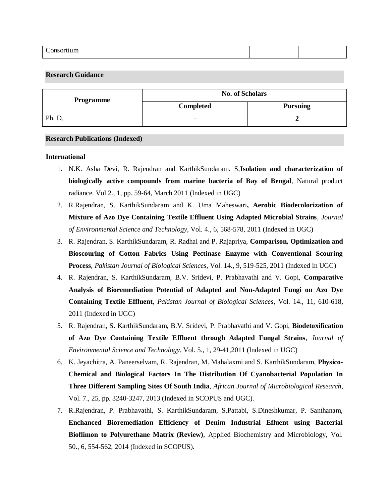| $\overline{\phantom{0}}$<br>--<br>липп<br>________ |  |
|----------------------------------------------------|--|
|----------------------------------------------------|--|

## **Research Guidance**

| <b>Programme</b> | <b>No. of Scholars</b> |                 |
|------------------|------------------------|-----------------|
|                  | <b>Completed</b>       | <b>Pursuing</b> |
| Ph. D.           |                        |                 |

#### **Research Publications (Indexed)**

#### **International**

- 1. N.K. Asha Devi, R. Rajendran and KarthikSundaram. S,**Isolation and characterization of biologically active compounds from marine bacteria of Bay of Bengal**, Natural product radiance. Vol 2., 1, pp. 59-64, March 2011 (Indexed in UGC)
- 2. R.Rajendran, S. KarthikSundaram and K. Uma Maheswari**, Aerobic Biodecolorization of Mixture of Azo Dye Containing Textile Effluent Using Adapted Microbial Strains**, *Journal of Environmental Science and Technology*, Vol. 4., 6, 568-578, 2011 (Indexed in UGC)
- 3. R. Rajendran, S. KarthikSundaram, R. Radhai and P. Rajapriya, **Comparison, Optimization and Bioscouring of Cotton Fabrics Using Pectinase Enzyme with Conventional Scouring Process**, *Pakistan Journal of Biological Sciences*, Vol. 14., 9, 519-525, 2011 (Indexed in UGC)
- 4. R. Rajendran, S. KarthikSundaram, B.V. Sridevi, P. Prabhavathi and V. Gopi, **Comparative Analysis of Bioremediation Potential of Adapted and Non-Adapted Fungi on Azo Dye Containing Textile Effluent**, *Pakistan Journal of Biological Sciences*, Vol. 14., 11, 610-618, 2011 (Indexed in UGC)
- 5. R. Rajendran, S. KarthikSundaram, B.V. Sridevi, P. Prabhavathi and V. Gopi, **Biodetoxification of Azo Dye Containing Textile Effluent through Adapted Fungal Strains**, *Journal of Environmental Science and Technology*, Vol. 5., 1, 29-41,2011 (Indexed in UGC)
- 6. K. Jeyachitra, A. Paneerselvam, R. Rajendran, M. Mahalaxmi and S. KarthikSundaram, **Physico-Chemical and Biological Factors In The Distribution Of Cyanobacterial Population In Three Different Sampling Sites Of South India**, *African Journal of Microbiological Research*, Vol. 7., 25, pp. 3240-3247, 2013 (Indexed in SCOPUS and UGC).
- 7. R.Rajendran, P. Prabhavathi, S. KarthikSundaram, S.Pattabi, S.Dineshkumar, P. Santhanam, **Enchanced Bioremediation Efficiency of Denim Industrial Efluent using Bacterial Bioflimon to Polyurethane Matrix (Review)**, Applied Biochemistry and Microbiology, Vol. 50., 6, 554-562, 2014 (Indexed in SCOPUS).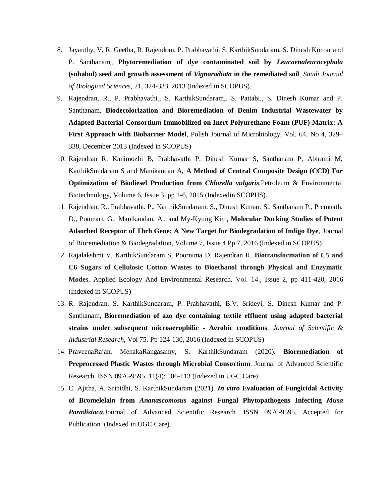- 8. Jayanthy, V, R. Geetha, R. Rajendran, P. Prabhavathi, S. KarthikSundaram, S. Dinesh Kumar and P. Santhanam,, **Phytoremediation of dye contaminated soil by** *Leucaenaleucocephala* **(subabul) seed and growth assessment of** *Vignaradiata* **in the remediated soil**, *Saudi Journal of Biological Sciences*, 21, 324-333, 2013 (Indexed in SCOPUS).
- 9. Rajendran, R., P. Prabhavathi., S. KarthikSundaram,. S. Pattabi., S. Dinesh Kumar and P. Santhanam, **Biodecolorization and Bioremediation of Denim Industrial Wastewater by Adapted Bacterial Consortium Immobilized on Inert Polyurethane Foam (PUF) Matrix: A First Approach with Biobarrier Model**, Polish Journal of Microbiology, Vol. 64, No 4, 329– 338, December 2013 (Indexed in SCOPUS)
- 10. Rajendran R, Kanimozhi B, Prabhavathi P, Dinesh Kumar S, Santhanam P, Abirami M, KarthikSundaram S and Manikandan A, **A Method of Central Composite Design (CCD) For Optimization of Biodiesel Production from** *Chlorella vulgaris,*Petroleum & Environmental Biotechnology, Volume 6, Issue 3, pp 1-6, 2015 (Indexedin SCOPUS).
- 11. Rajendran. R., Prabhavathi. P., KarthikSundaram. S., Dinesh Kumar. S., Santhanam P., Premnath. D., Ponmari. G., Manikandan. A., and My-Kyung Kim, **Molecular Docking Studies of Potent Adsorbed Receptor of Thrh Gene: A New Target for Biodegradation of Indigo Dye**, Journal of Bioremediation & Biodegradation, Volume 7, Issue 4 Pp 7, 2016 (Indexed in SCOPUS)
- 12. Rajalakshmi V, KarthikSundaram S, Poornima D, Rajendran R, **Biotransformation of C5 and C6 Sugars of Cellulosic Cotton Wastes to Bioethanol through Physical and Enzymatic Modes**, Applied Ecology And Environmental Research, Vol. 14., Issue 2, pp 411-420, 2016 (Indexed in SCOPUS)
- 13. R. Rajendran, S. KarthikSundaram, P. Prabhavathi, B.V. Sridevi, S. Dinesh Kumar and P. Santhanam, **Bioremediation of azo dye containing textile effluent using adapted bacterial strains under subsequent microaerophilic - Aerobic conditions**, *Journal of Scientific & Industrial Research*, Vol 75. Pp 124-130, 2016 (Indexed in SCOPUS)
- 14. PraveenaRajan, MenakaRangasamy, S. KarthikSundaram (2020). **Bioremediation of Preprocessed Plastic Wastes through Microbial Consortium**. Journal of Advanced Scientific Research. ISSN 0976-9595. 11(4): 106-113 (Indexed in UGC Care).
- 15. C. Ajitha, A. Srinidhi, S. KarthikSundaram (2021). *In vitro* **Evaluation of Fungicidal Activity of Bromelelain from** *Ananascomosus* **against Fungal Phytopathogens Infecting** *Musa Paradisiaca*,Journal of Advanced Scientific Research. ISSN 0976-9595. Accepted for Publication. (Indexed in UGC Care).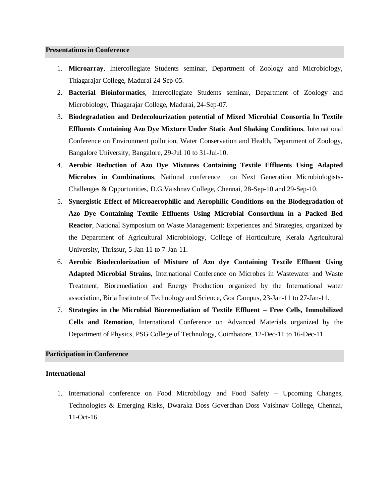#### **Presentations in Conference**

- 1. **Microarray**, Intercollegiate Students seminar, Department of Zoology and Microbiology, Thiagarajar College, Madurai 24-Sep-05.
- 2. **Bacterial Bioinformatics**, Intercollegiate Students seminar, Department of Zoology and Microbiology, Thiagarajar College, Madurai, 24-Sep-07.
- 3. **Biodegradation and Dedecolourization potential of Mixed Microbial Consortia In Textile Effluents Containing Azo Dye Mixture Under Static And Shaking Conditions**, International Conference on Environment pollution, Water Conservation and Health, Department of Zoology, Bangalore University, Bangalore, 29-Jul 10 to 31-Jul-10.
- 4. **Aerobic Reduction of Azo Dye Mixtures Containing Textile Effluents Using Adapted Microbes in Combinations**, National conference on Next Generation Microbiologists-Challenges & Opportunities, D.G.Vaishnav College, Chennai, 28-Sep-10 and 29-Sep-10.
- 5. **Synergistic Effect of Microaerophilic and Aerophilic Conditions on the Biodegradation of Azo Dye Containing Textile Effluents Using Microbial Consortium in a Packed Bed Reactor**, National Symposium on Waste Management: Experiences and Strategies, organized by the Department of Agricultural Microbiology, College of Horticulture, Kerala Agricultural University, Thrissur, 5-Jan-11 to 7-Jan-11.
- 6. **Aerobic Biodecolorization of Mixture of Azo dye Containing Textile Effluent Using Adapted Microbial Strains**, International Conference on Microbes in Wastewater and Waste Treatment, Bioremediation and Energy Production organized by the International water association, Birla Institute of Technology and Science, Goa Campus, 23-Jan-11 to 27-Jan-11.
- 7. **Strategies in the Microbial Bioremediation of Textile Effluent – Free Cells, Immobilized Cells and Remotion**, International Conference on Advanced Materials organized by the Department of Physics, PSG College of Technology, Coimbatore, 12-Dec-11 to 16-Dec-11.

#### **Participation in Conference**

#### **International**

1. International conference on Food Microbilogy and Food Safety – Upcoming Changes, Technologies & Emerging Risks, Dwaraka Doss Goverdhan Doss Vaishnav College, Chennai, 11-Oct-16.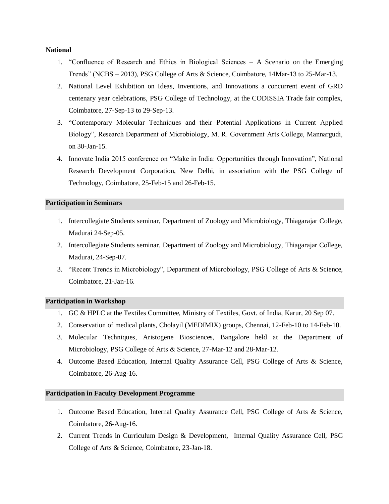#### **National**

- 1. "Confluence of Research and Ethics in Biological Sciences A Scenario on the Emerging Trends" (NCBS – 2013), PSG College of Arts & Science, Coimbatore, 14Mar-13 to 25-Mar-13.
- 2. National Level Exhibition on Ideas, Inventions, and Innovations a concurrent event of GRD centenary year celebrations, PSG College of Technology, at the CODISSIA Trade fair complex, Coimbatore, 27-Sep-13 to 29-Sep-13.
- 3. "Contemporary Molecular Techniques and their Potential Applications in Current Applied Biology", Research Department of Microbiology, M. R. Government Arts College, Mannargudi, on 30-Jan-15.
- 4. Innovate India 2015 conference on "Make in India: Opportunities through Innovation", National Research Development Corporation, New Delhi, in association with the PSG College of Technology, Coimbatore, 25-Feb-15 and 26-Feb-15.

## **Participation in Seminars**

- 1. Intercollegiate Students seminar, Department of Zoology and Microbiology, Thiagarajar College, Madurai 24-Sep-05.
- 2. Intercollegiate Students seminar, Department of Zoology and Microbiology, Thiagarajar College, Madurai, 24-Sep-07.
- 3. "Recent Trends in Microbiology", Department of Microbiology, PSG College of Arts & Science, Coimbatore, 21-Jan-16.

## **Participation in Workshop**

- 1. GC & HPLC at the Textiles Committee, Ministry of Textiles, Govt. of India, Karur, 20 Sep 07.
- 2. Conservation of medical plants, Cholayil (MEDIMIX) groups, Chennai, 12-Feb-10 to 14-Feb-10.
- 3. Molecular Techniques, Aristogene Biosciences, Bangalore held at the Department of Microbiology, PSG College of Arts & Science, 27-Mar-12 and 28-Mar-12.
- 4. Outcome Based Education, Internal Quality Assurance Cell, PSG College of Arts & Science, Coimbatore, 26-Aug-16.

#### **Participation in Faculty Development Programme**

- 1. Outcome Based Education, Internal Quality Assurance Cell, PSG College of Arts & Science, Coimbatore, 26-Aug-16.
- 2. Current Trends in Curriculum Design & Development, Internal Quality Assurance Cell, PSG College of Arts & Science, Coimbatore, 23-Jan-18.